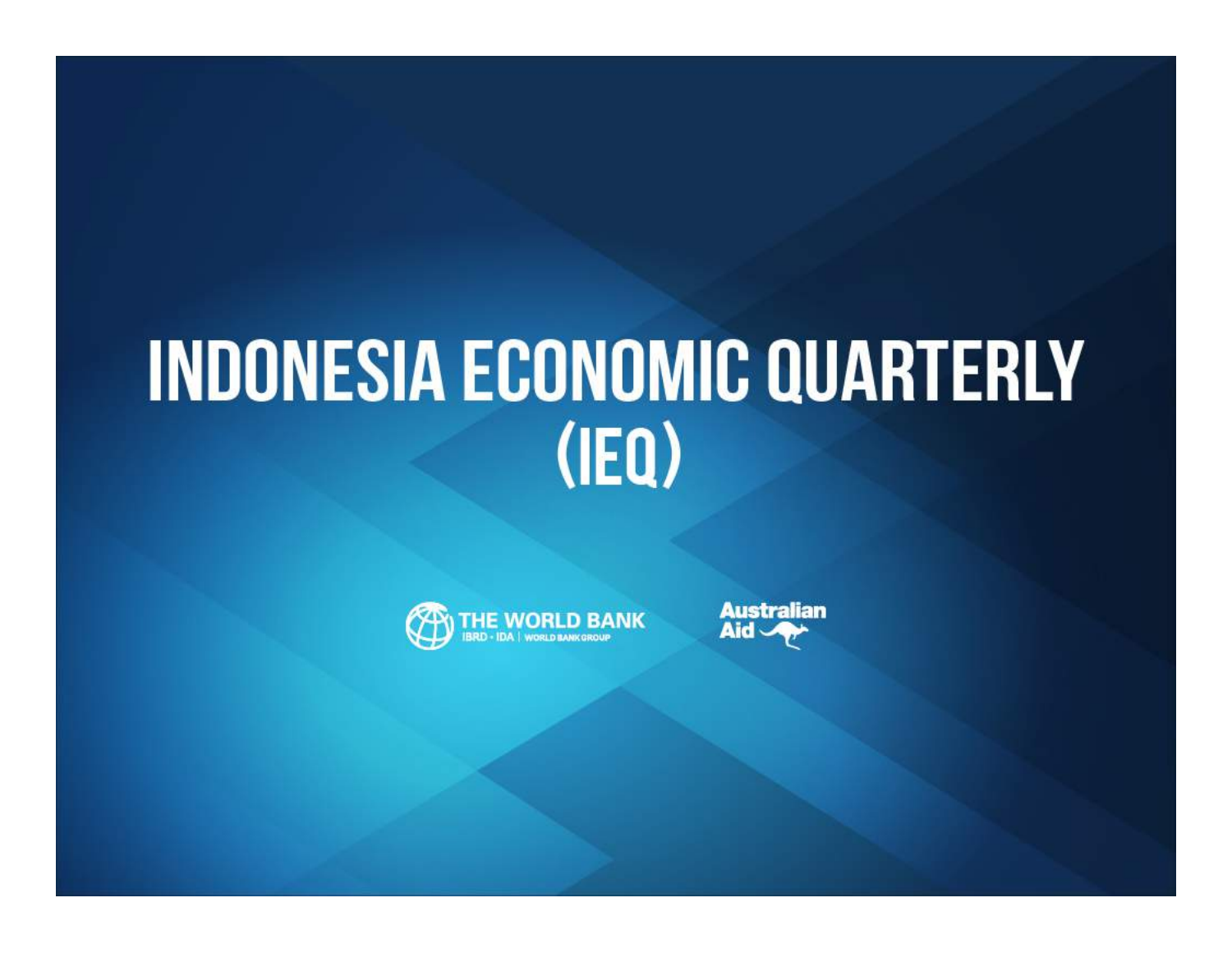# **INDONESIA ECONOMIC QUARTERLY**  $(IEQ)$



**Australian** Aid -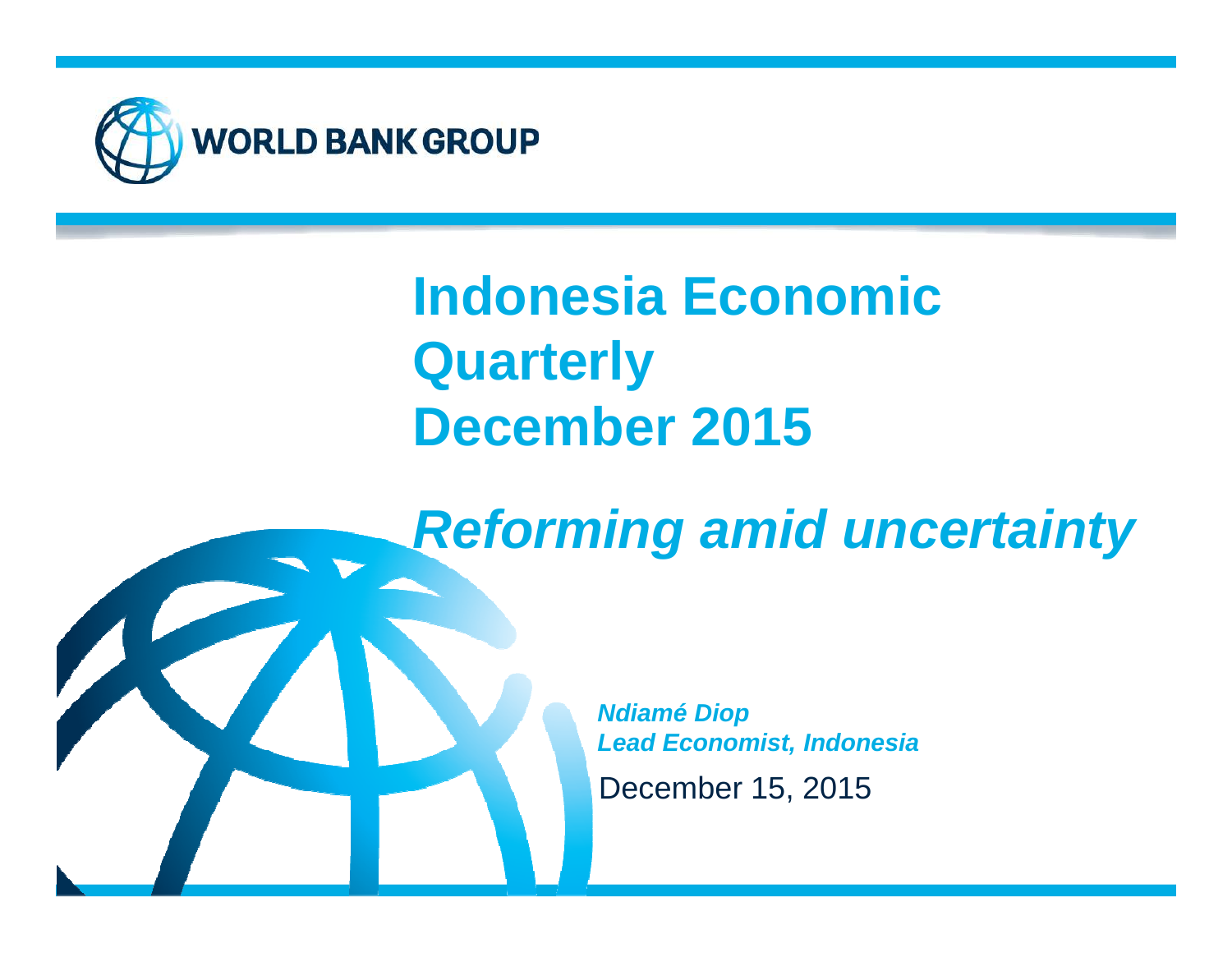

## **Indonesia Economic QuarterlyDecember 2015**

**Reforming amid uncertainty**



December 15, 2015**Ndiamé DiopLead Economist, Indonesia**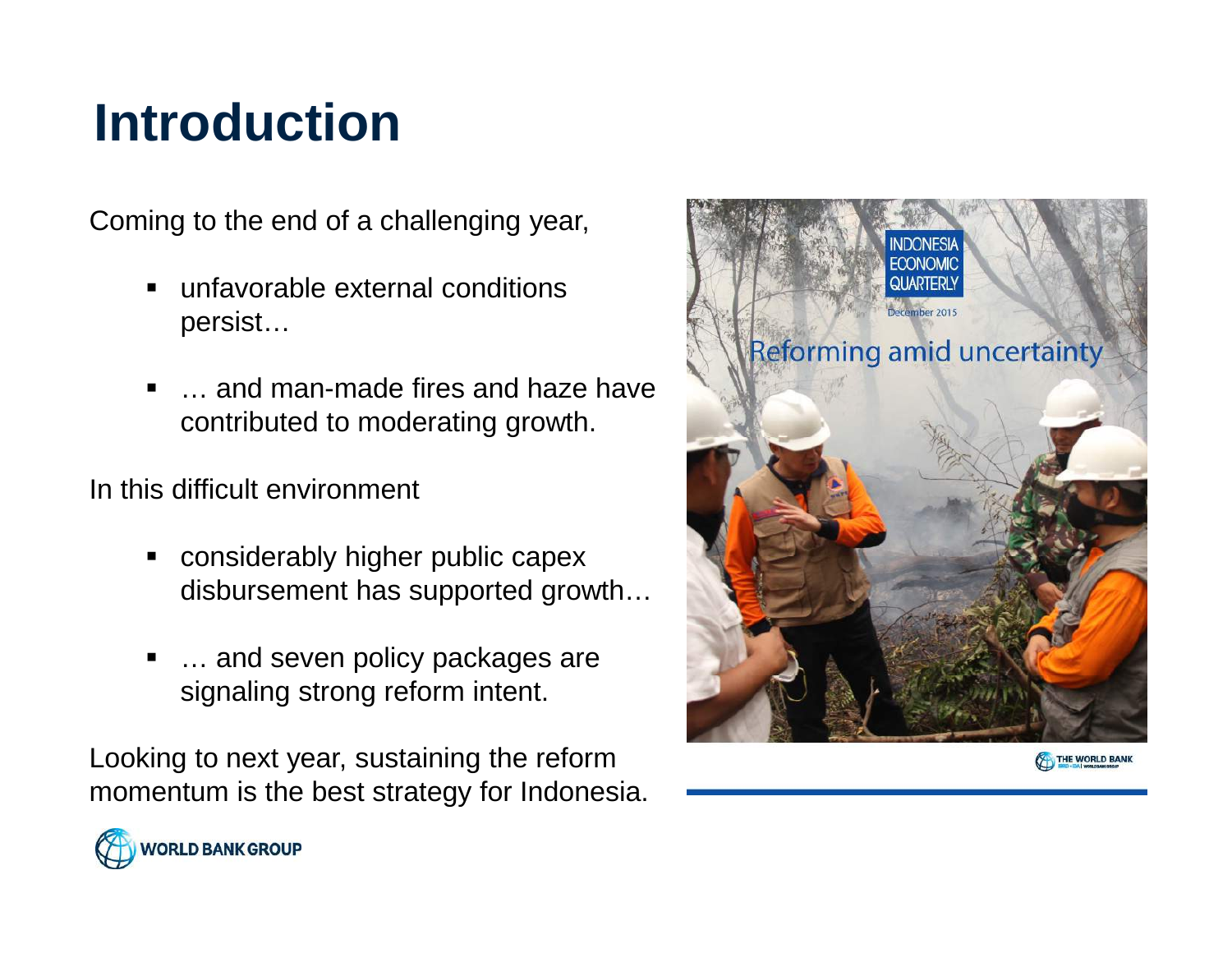#### **Introduction**

Coming to the end of a challenging year,

- unfavorable external conditions persist…
- … and man-made fires and haze have contributed to moderating growth.

In this difficult environment

**WORLD BANK GROUP** 

- considerably higher public capex disbursement has supported growth…
- … and seven policy packages are signaling strong reform intent.

Looking to next year, sustaining the reform momentum is the best strategy for Indonesia.

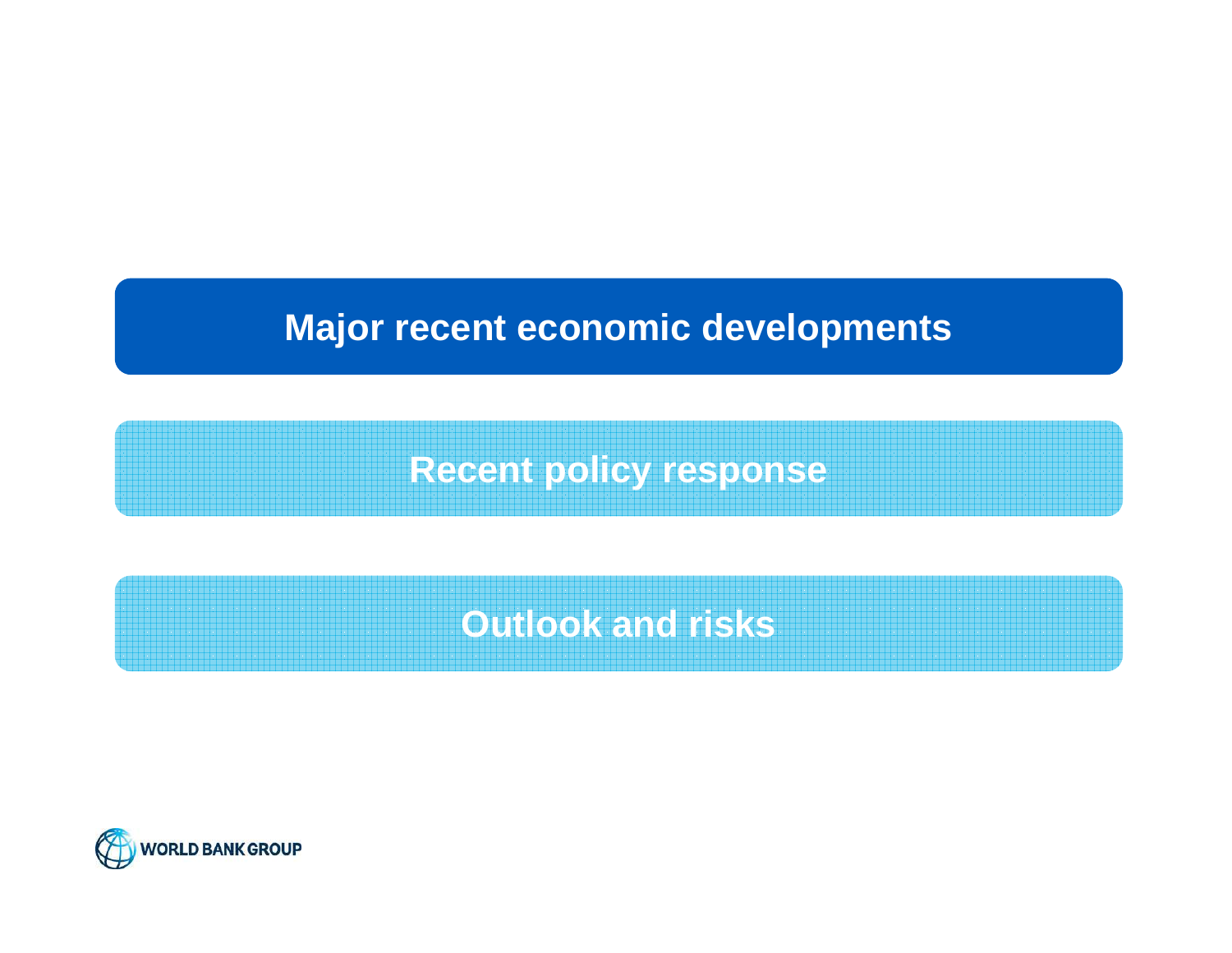#### **Major recent economic developments**

**Recent policy response**

**Outlook and risks**

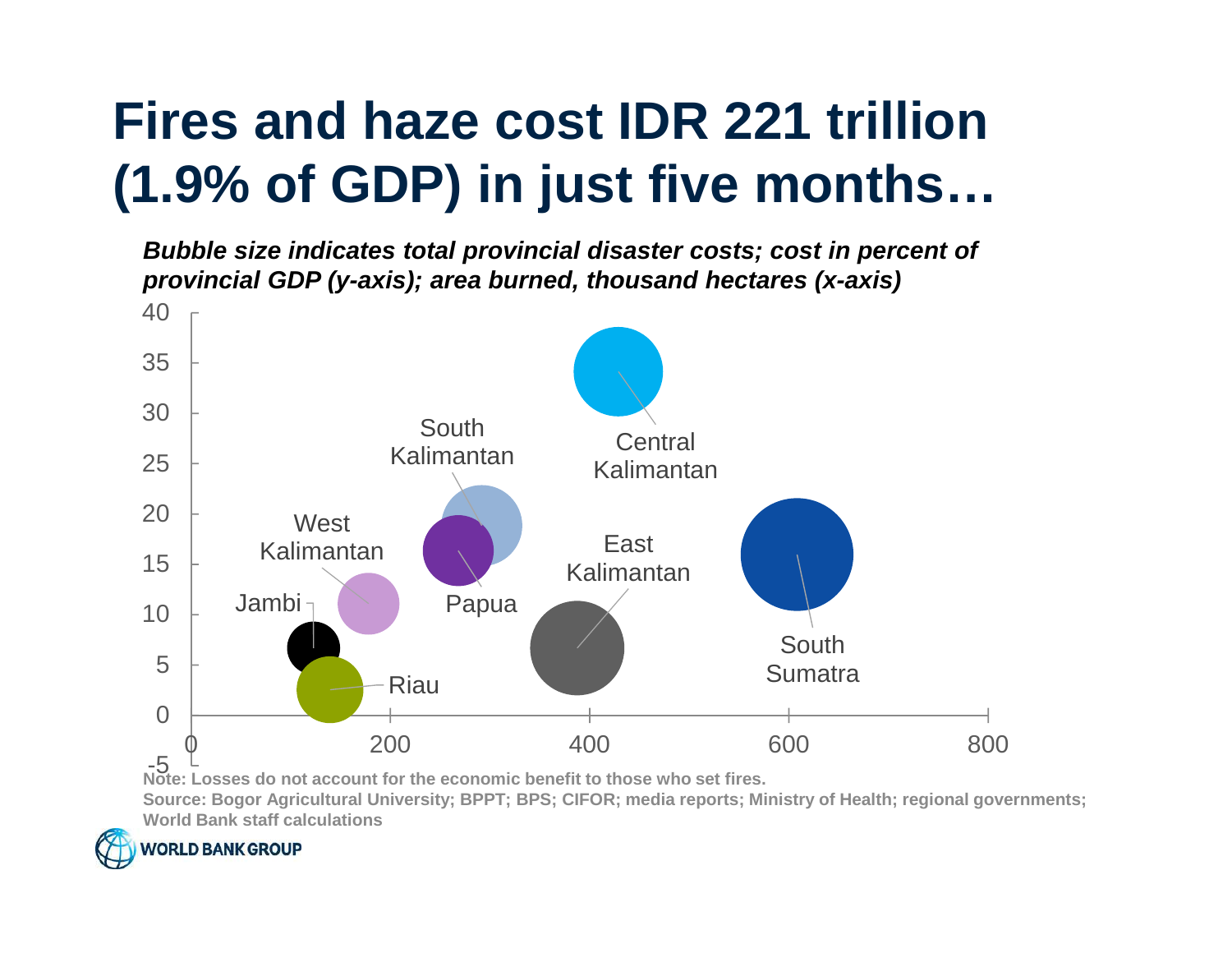## **Fires and haze cost IDR 221 trillion (1.9% of GDP) in just five months…**

 **Bubble size indicates total provincial disaster costs; cost in percent of provincial GDP (y-axis); area burned, thousand hectares (x-axis)**



 **Source: Bogor Agricultural University; BPPT; BPS; CIFOR; media reports; Ministry of Health; regional governments; World Bank staff calculations**

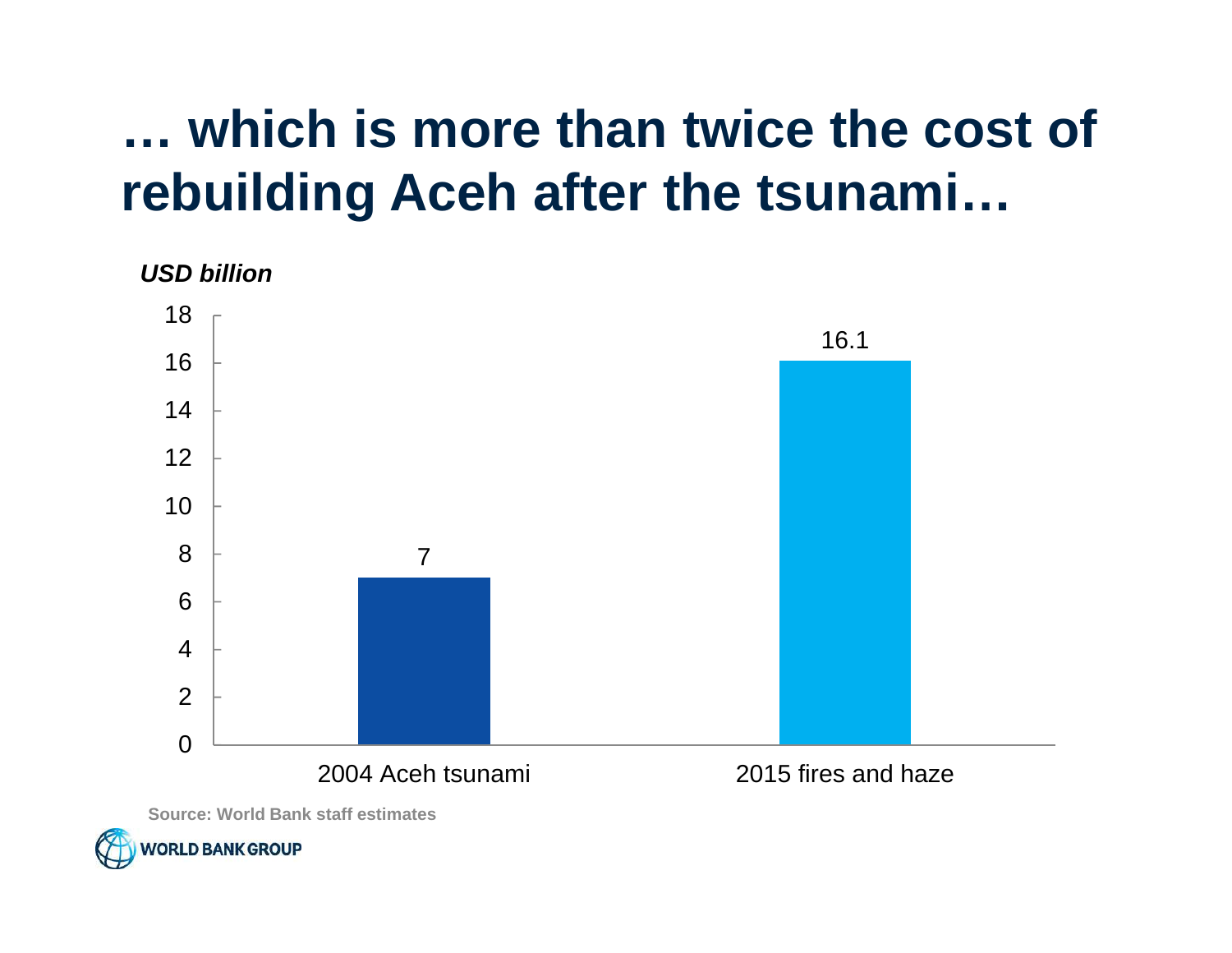#### **… which is more than twice the cost of rebuilding Aceh after the tsunami…**

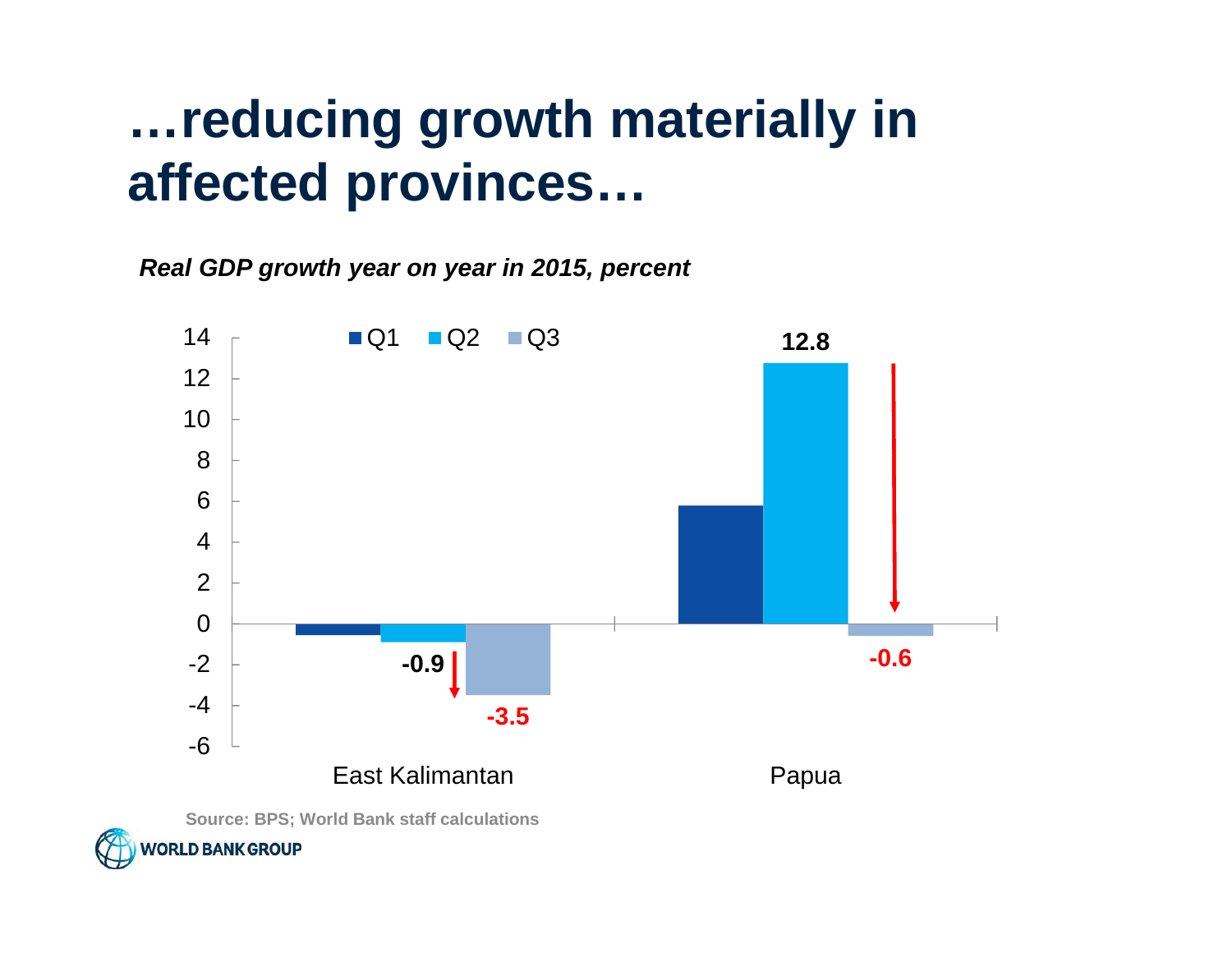#### **…reducing growth materially in affected provinces…**

**Real GDP growth year on year in 2015, percent**

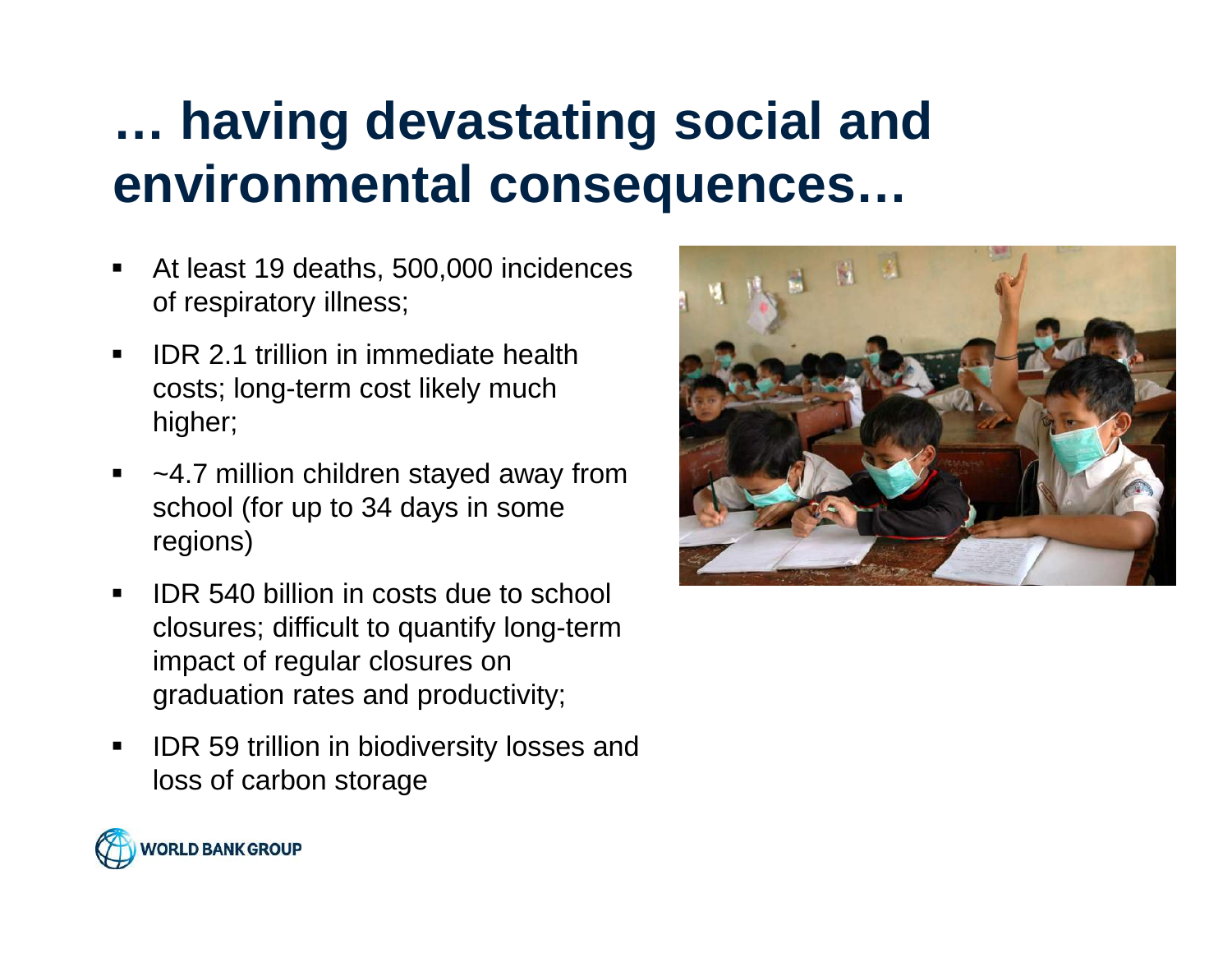### **… having devastating social and environmental consequences…**

- $\blacksquare$  At least 19 deaths, 500,000 incidences of respiratory illness;
- $\blacksquare$  IDR 2.1 trillion in immediate health costs; long-term cost likely much higher;
- ~4.7 million children stayed away from school (for up to 34 days in some regions)
- $\blacksquare$  IDR 540 billion in costs due to school closures; difficult to quantify long-term impact of regular closures on graduation rates and productivity;
- $\blacksquare$  IDR 59 trillion in biodiversity losses and loss of carbon storage



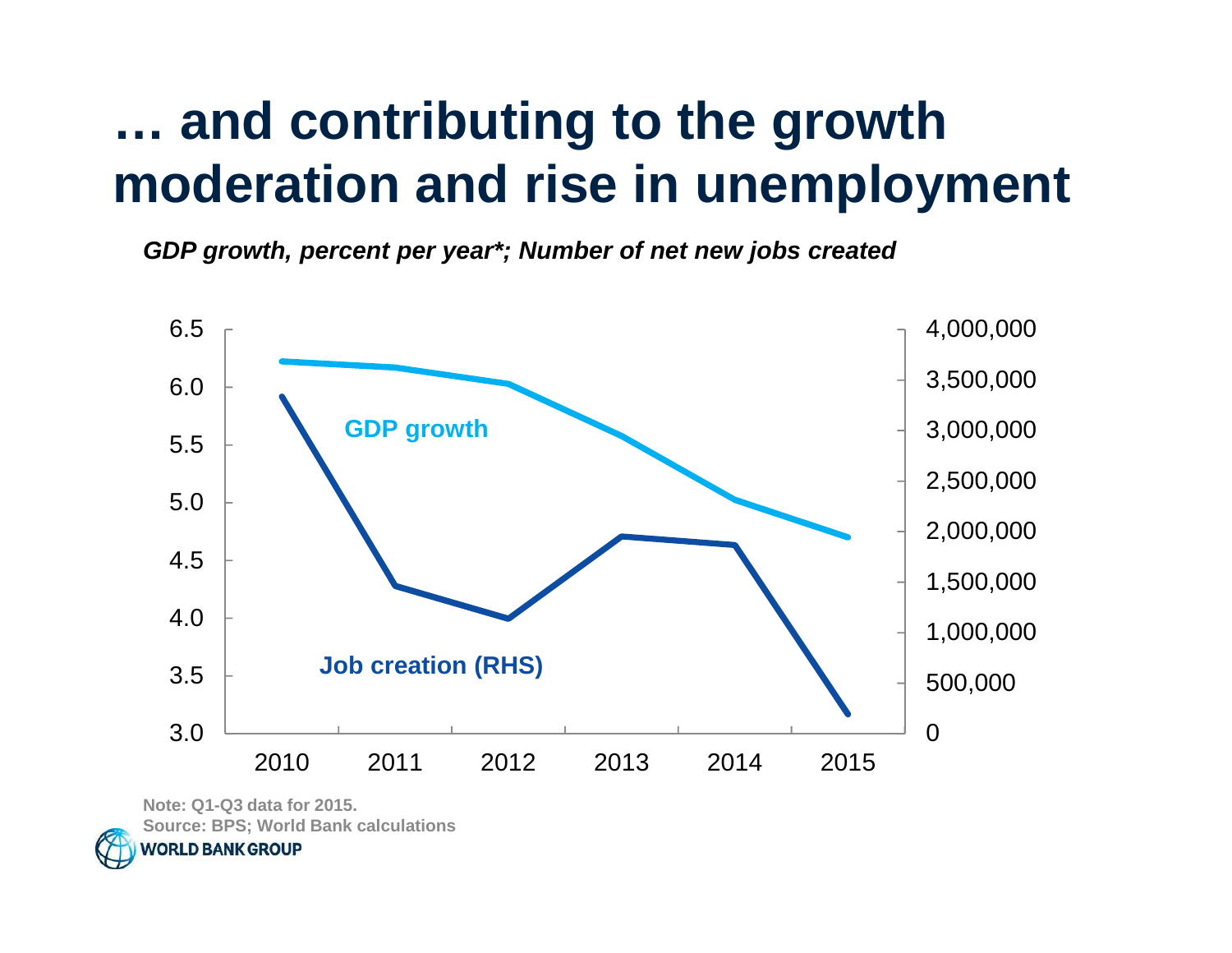#### **… and contributing to the growth moderation and rise in unemployment**

**GDP growth, percent per year\*; Number of net new jobs created** 



**Note: Q1-Q3 data for 2015. Source: BPS; World Bank calculations***NORLD BANK GROUP*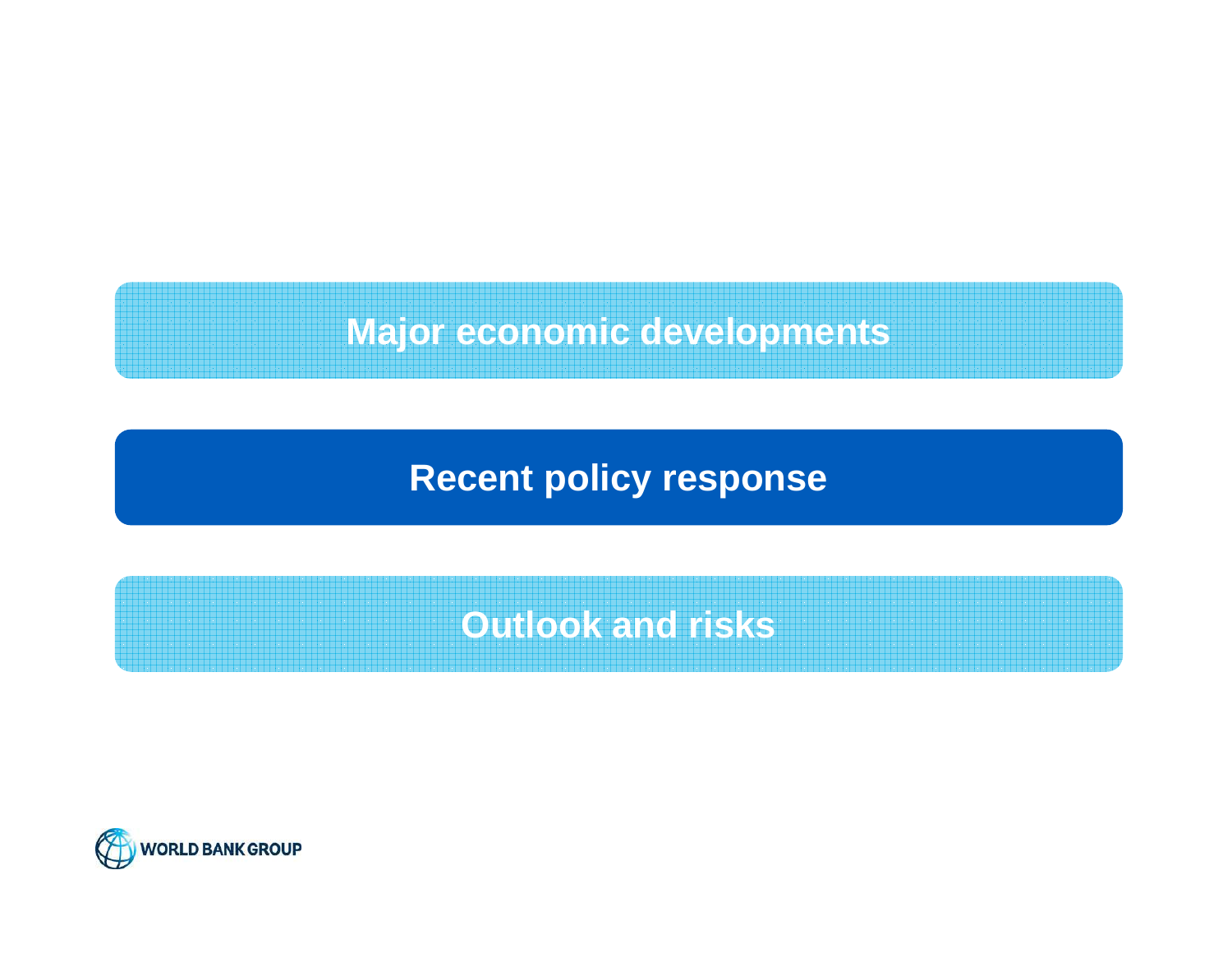#### **Major economic developments**

**Recent policy response**

**Outlook and risks**

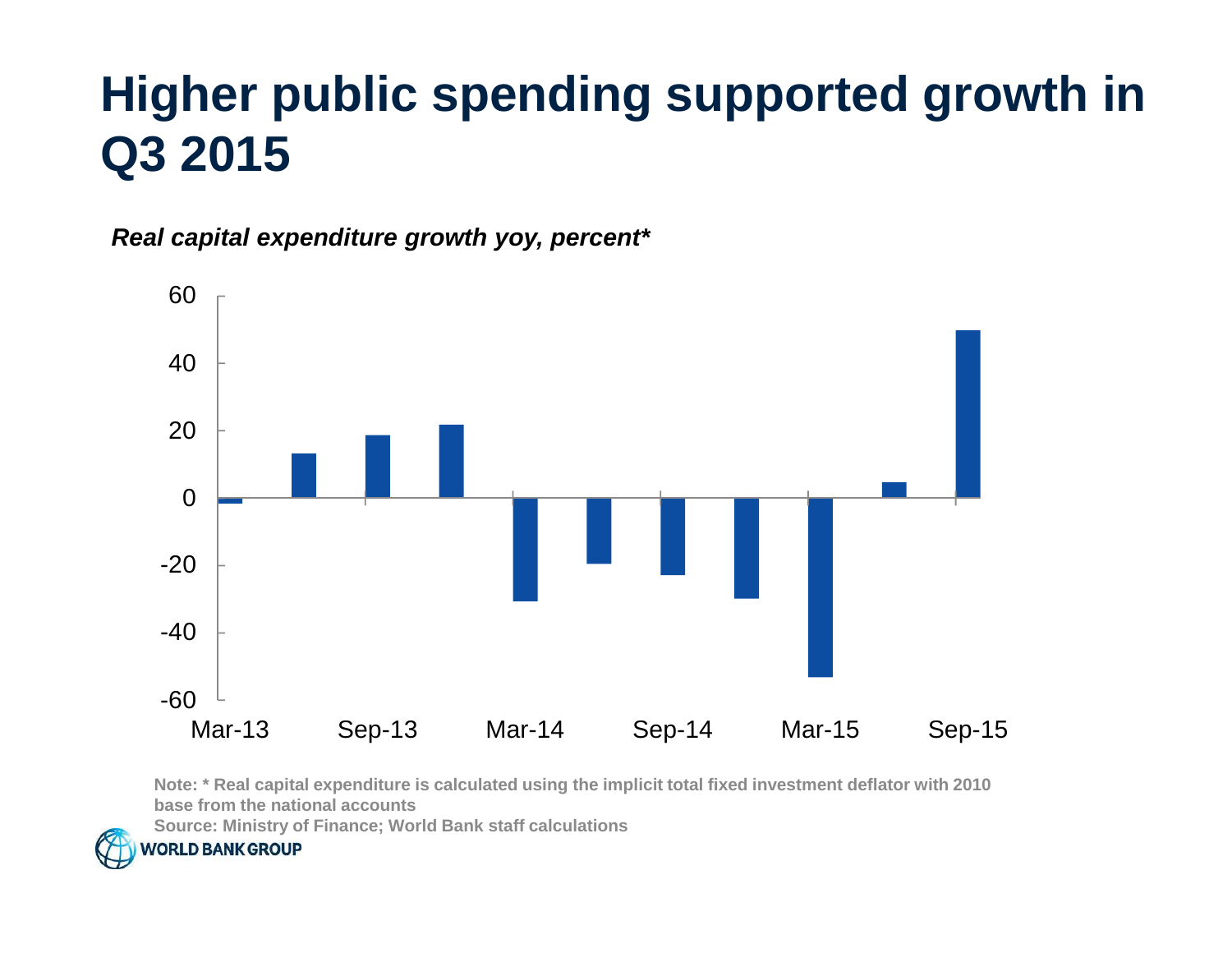#### **Higher public spending supported growth in Q3 2015**

**Real capital expenditure growth yoy, percent\***



**Note: \* Real capital expenditure is calculated using the implicit total fixed investment deflator with 2010 base from the national accounts**

**Source: Ministry of Finance; World Bank staff calculations**

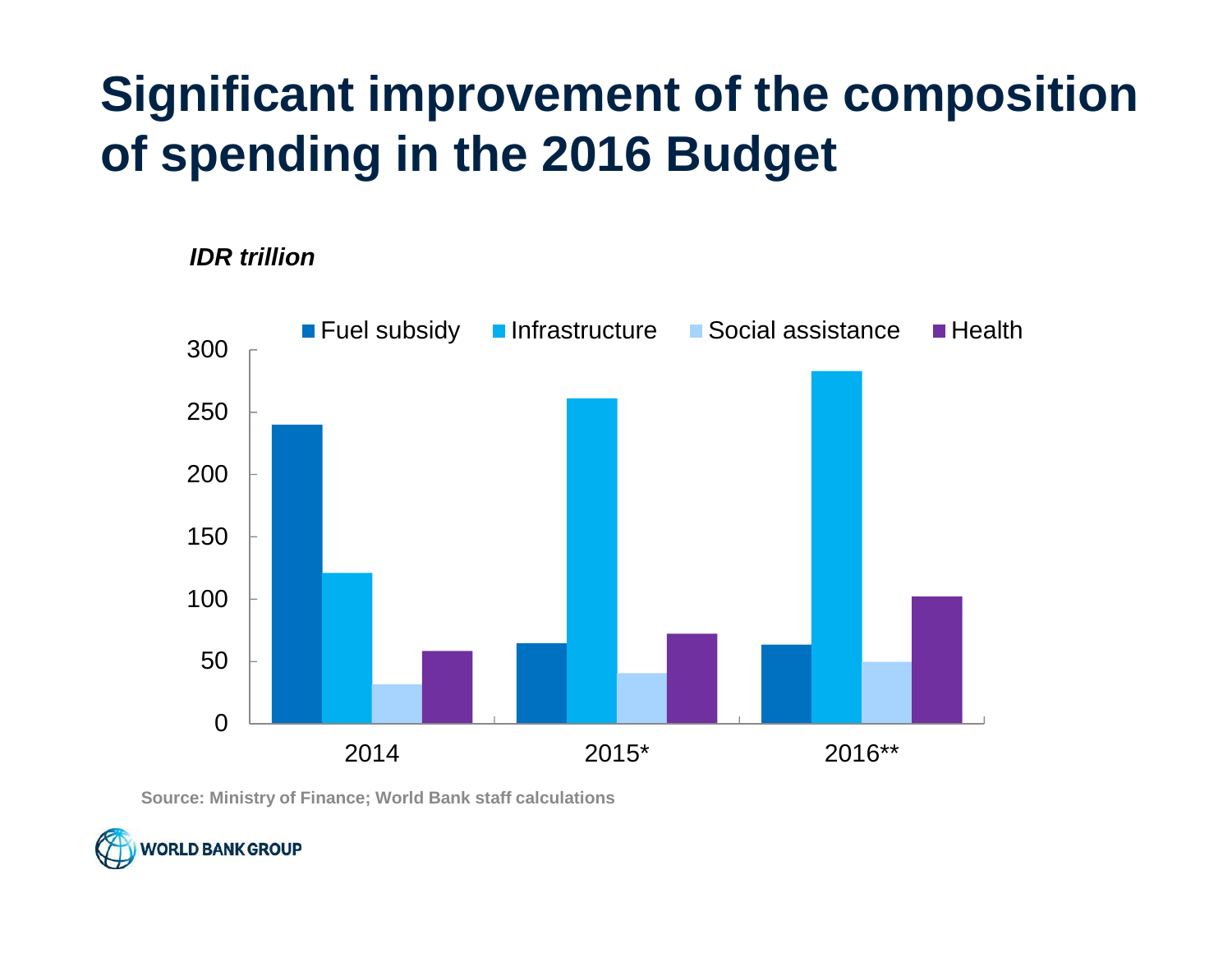#### **Significant improvement of the composition of spending in the 2016 Budget**

**IDR trillion**



**Source: Ministry of Finance; World Bank staff calculations**

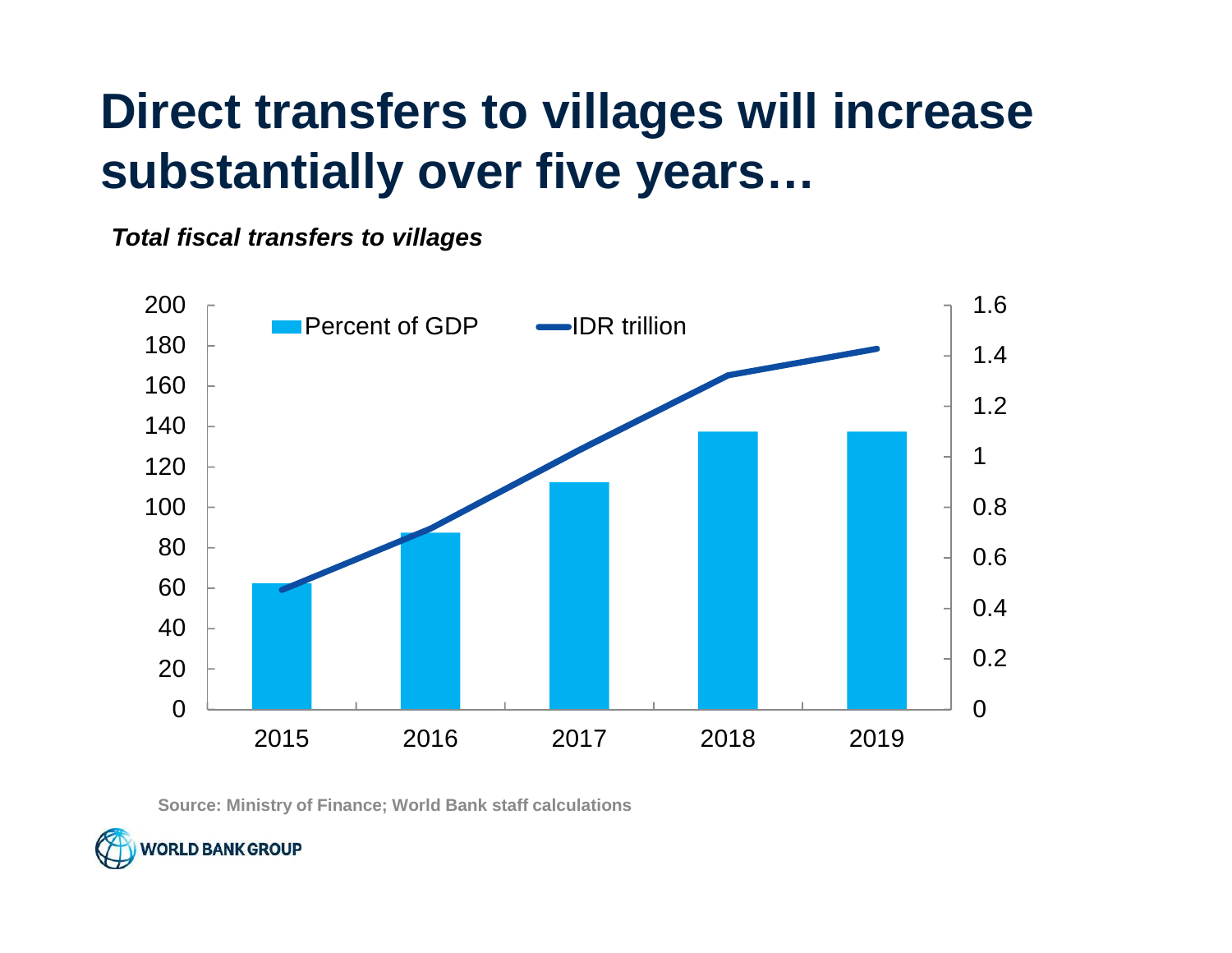#### **Direct transfers to villages will increase substantially over five years…**

**Total fiscal transfers to villages**



**Source: Ministry of Finance; World Bank staff calculations**

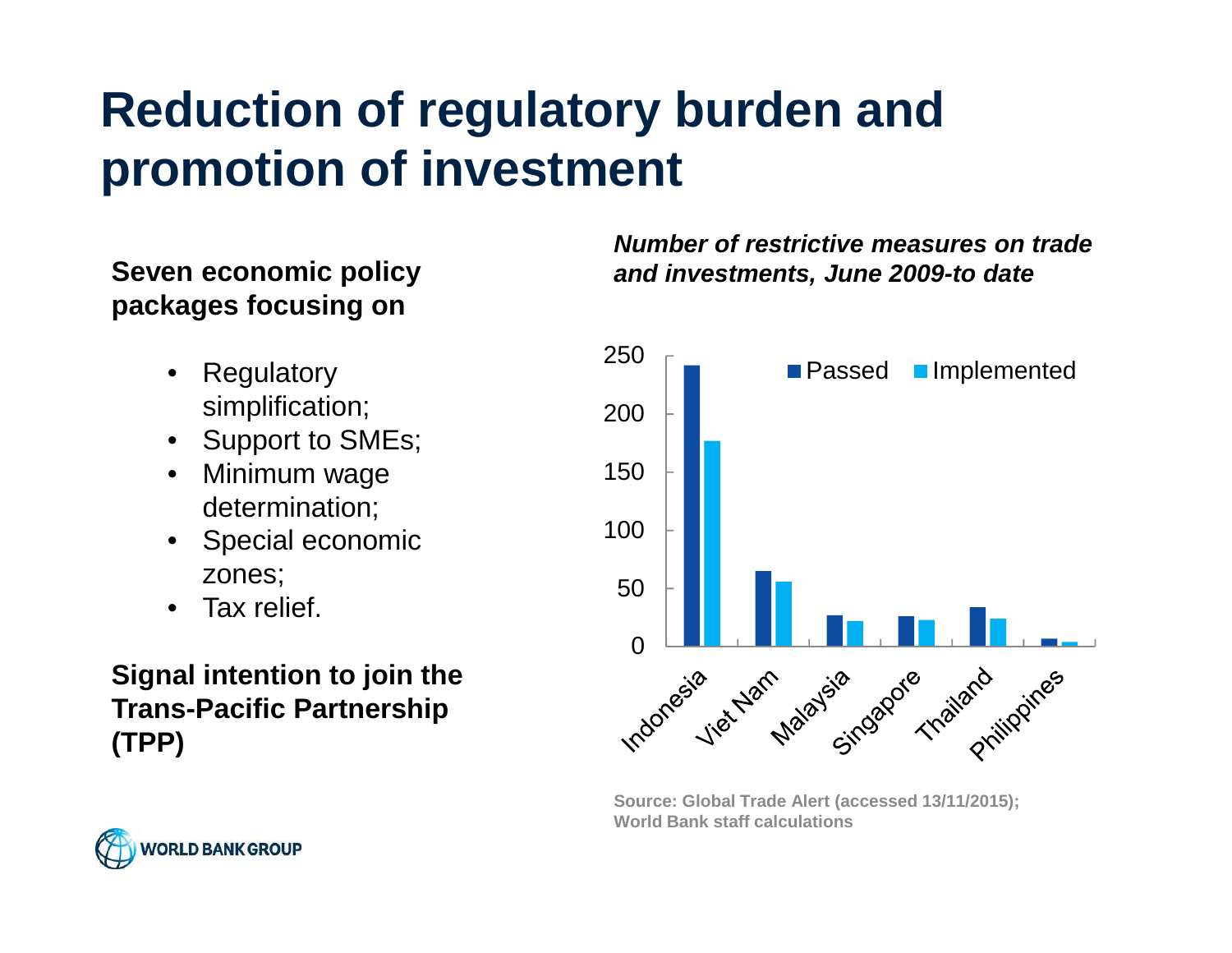#### **Reduction of regulatory burden and promotion of investment**

## **packages focusing on**

- • Regulatory simplification;
- Support to SMEs;
- Minimum wage determination;
- Special economic zones;
- •Tax relief.

#### **Signal intention to join the Trans-Pacific Partnership (TPP)**

#### **Number of restrictive measures on trade Seven economic policy and investments, June 2009-to date**



**Source: Global Trade Alert (accessed 13/11/2015); World Bank staff calculations**

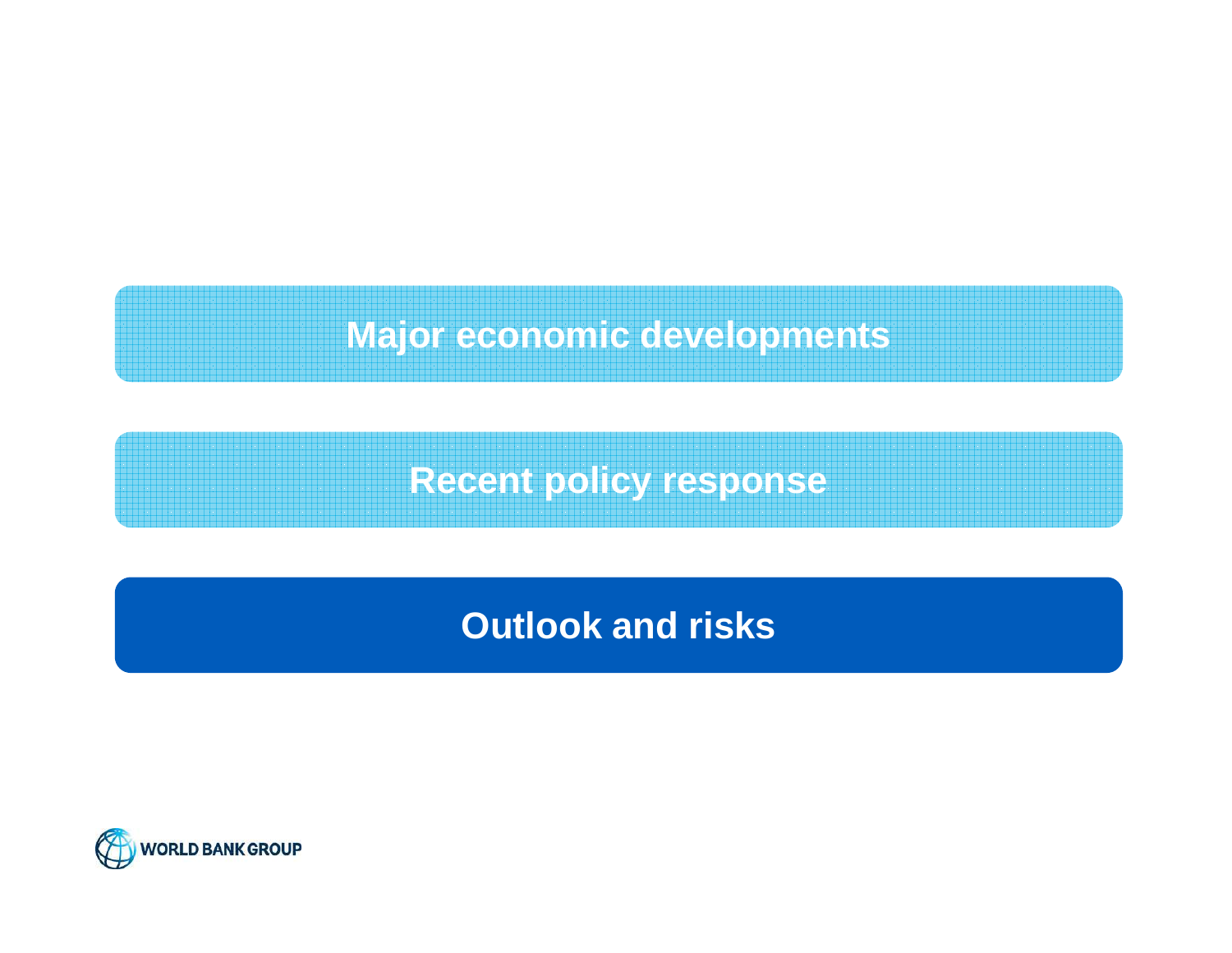**Major economic developments**

**Recent policy response**

**Outlook and risks**

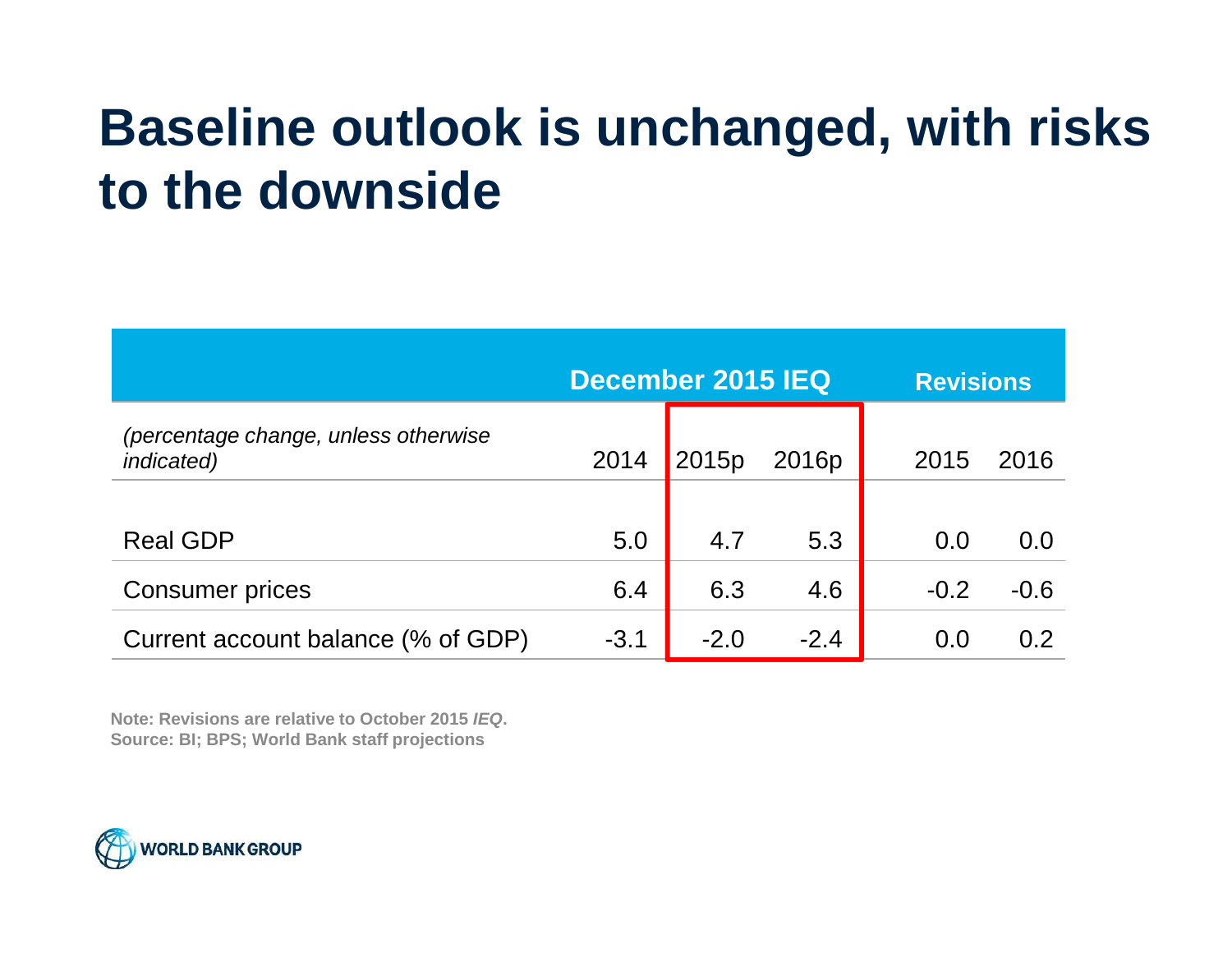#### **Baseline outlook is unchanged, with risks to the downside**

|                                                            | December 2015 IEQ |        |                   | <b>Revisions</b> |        |
|------------------------------------------------------------|-------------------|--------|-------------------|------------------|--------|
| (percentage change, unless otherwise<br><i>indicated</i> ) | 2014              | 2015p  | 2016 <sub>p</sub> | 2015             | 2016   |
| <b>Real GDP</b>                                            | 5.0               | 4.7    | 5.3               | 0.0              | 0.0    |
| <b>Consumer prices</b>                                     | 6.4               | 6.3    | 4.6               | $-0.2$           | $-0.6$ |
| Current account balance (% of GDP)                         | $-3.1$            | $-2.0$ | $-2.4$            | 0.0              | 0.2    |

**Note: Revisions are relative to October 2015 IEQ.Source: BI; BPS; World Bank staff projections**

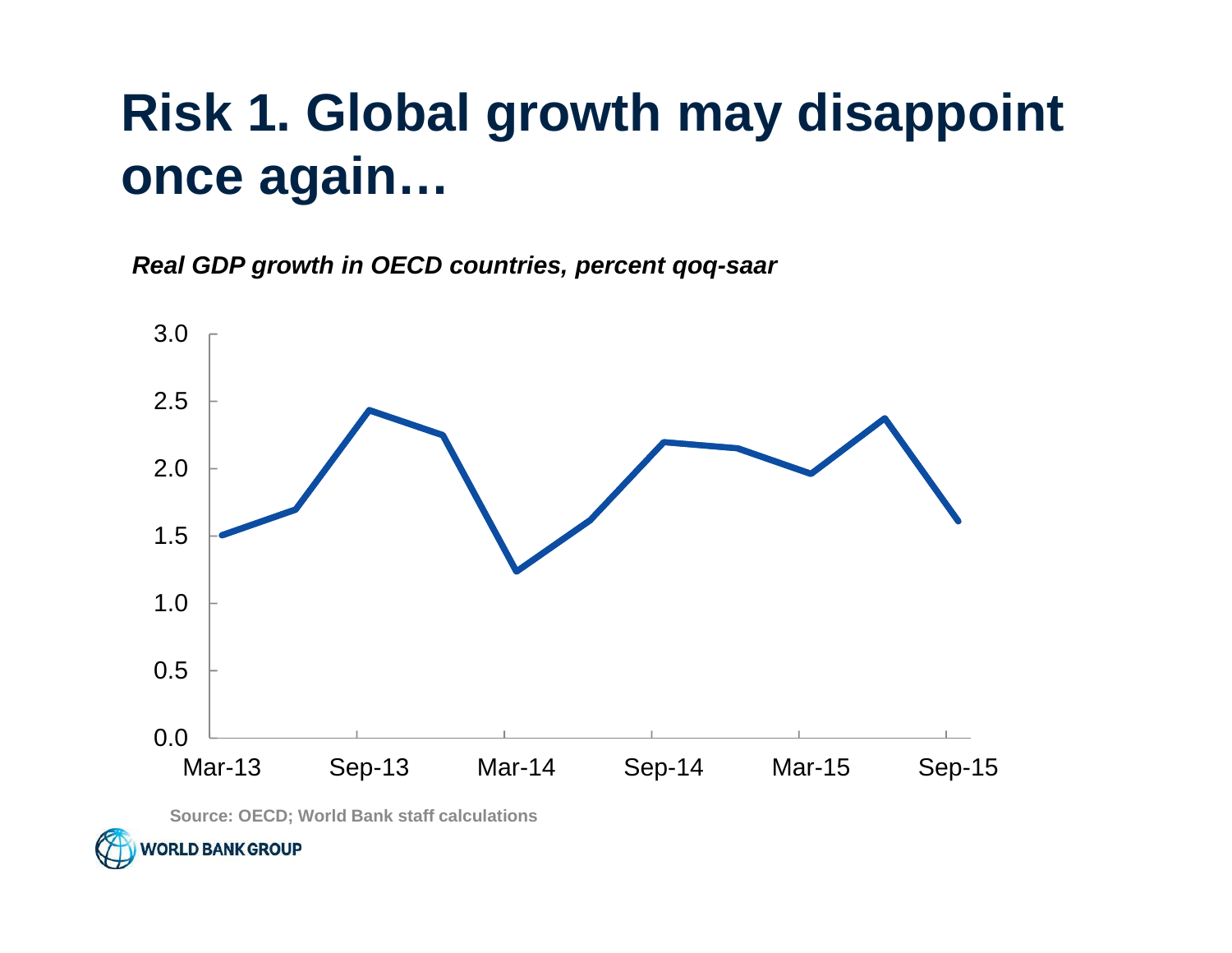### **Risk 1. Global growth may disappoint once again…**

**Real GDP growth in OECD countries, percent qoq-saar**



**Source: OECD; World Bank staff calculations**

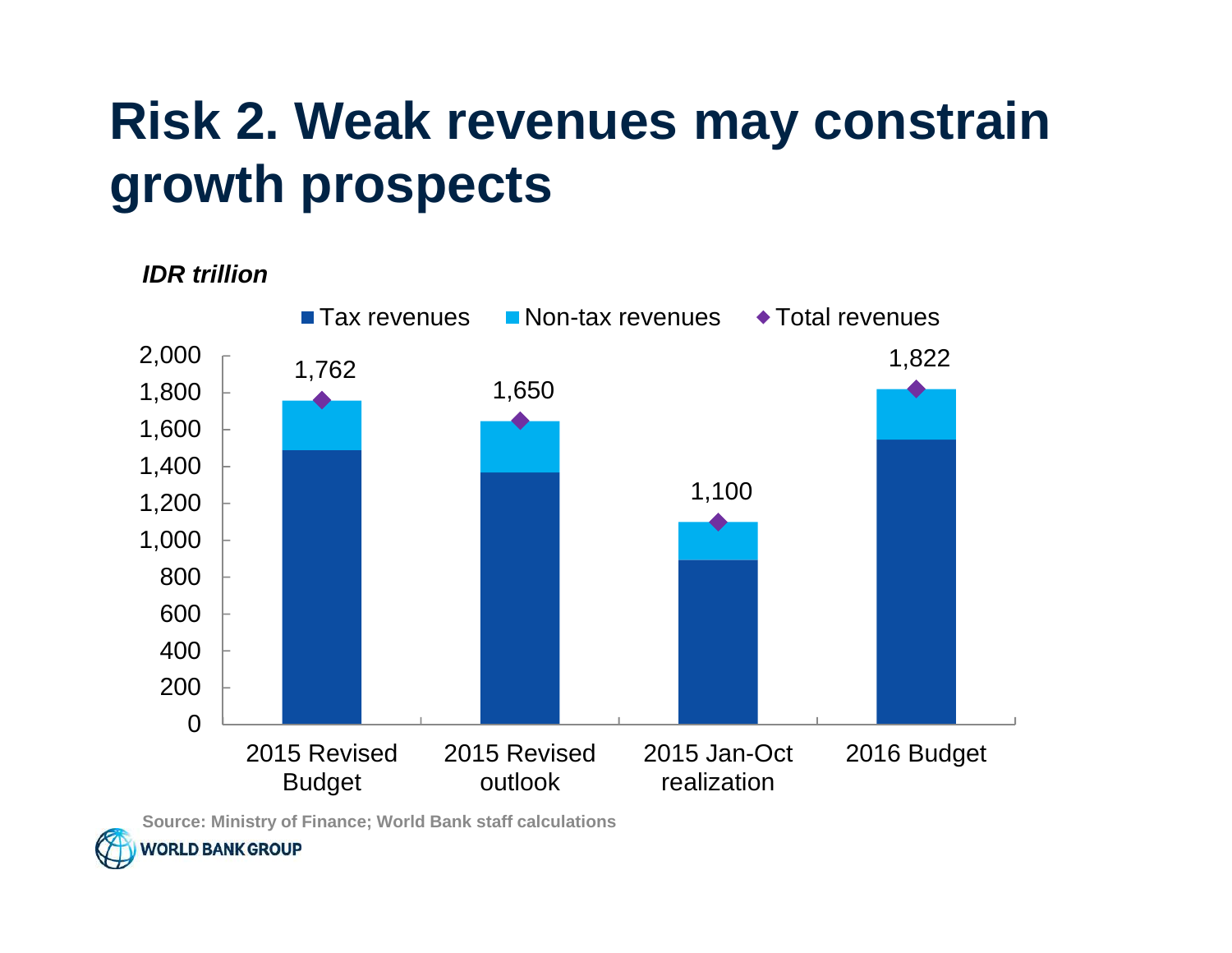## **Risk 2. Weak revenues may constrain growth prospects**

**IDR trillion**



**Source: Ministry of Finance; World Bank staff calculations**

**NORLD BANK GROUP**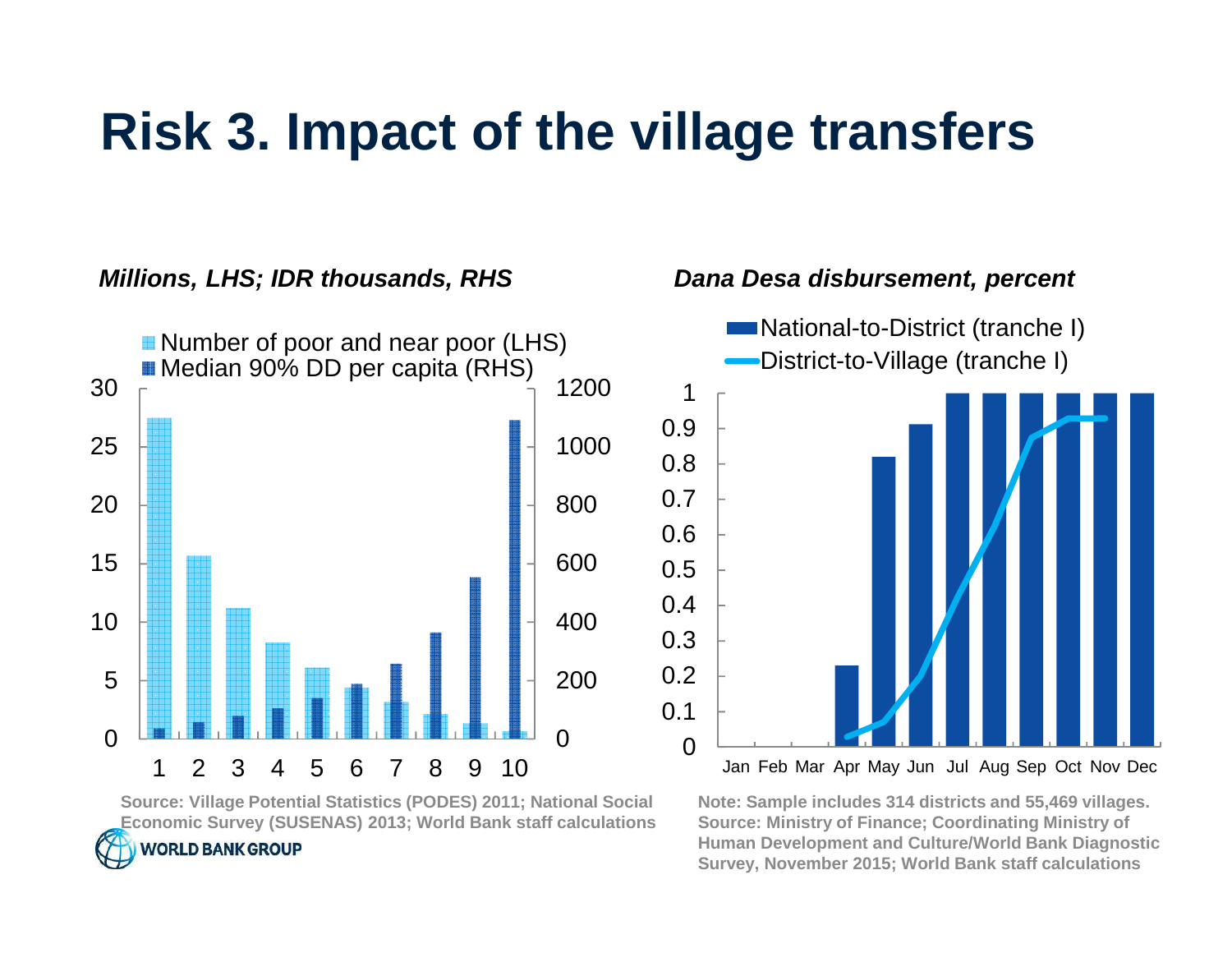#### **Risk 3. Impact of the village transfers**



**Source: Village Potential Statistics (PODES) 2011; National Social Economic Survey (SUSENAS) 2013; World Bank staff calculations**

**WORLD BANK GROUP** 

#### **Note: Sample includes 314 districts and 55,469 villages.Source: Ministry of Finance; Coordinating Ministry of Human Development and Culture/World Bank DiagnosticSurvey, November 2015; World Bank staff calculations**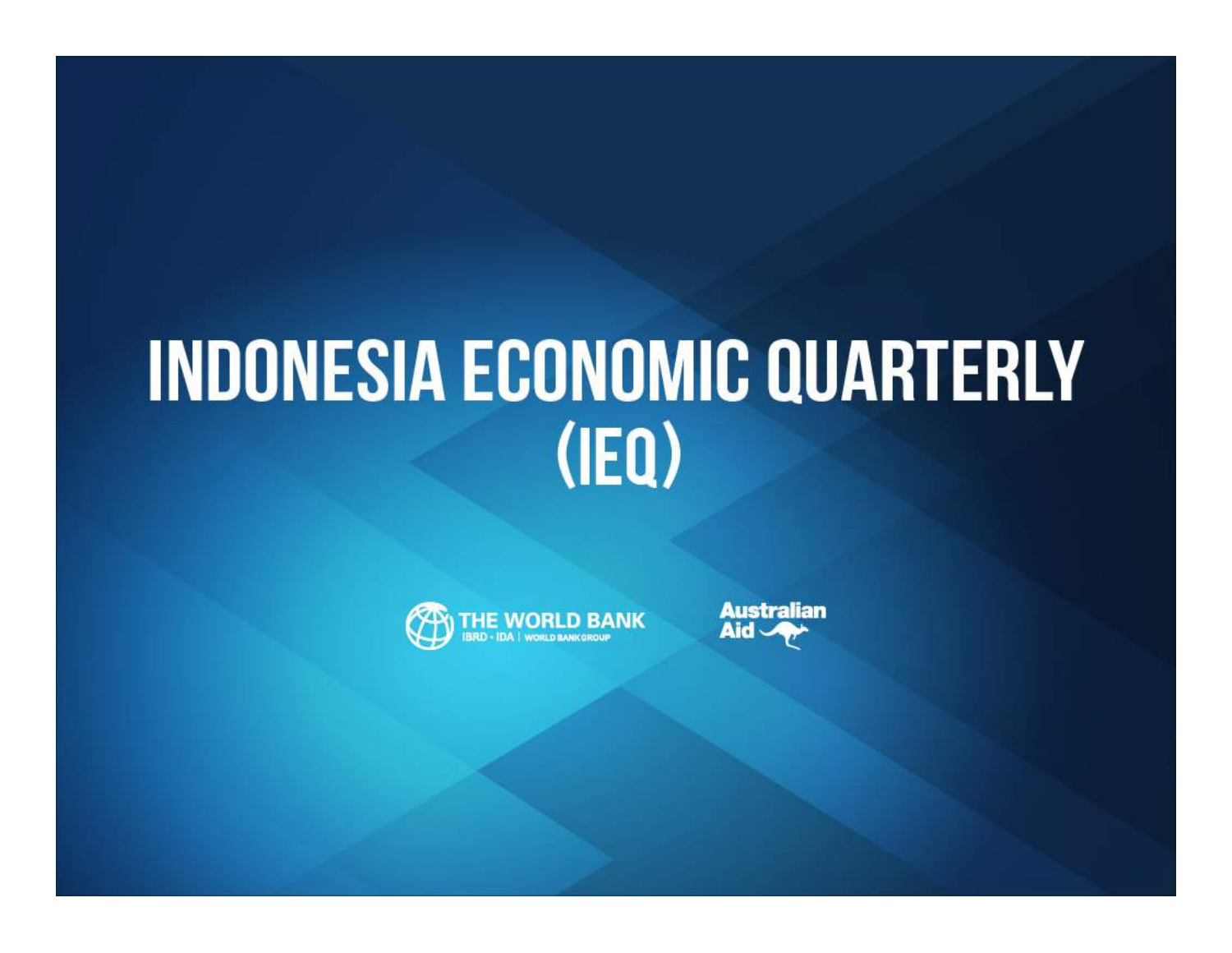# **INDONESIA ECONOMIC QUARTERLY**  $(IEQ)$



**Australian** Aid -